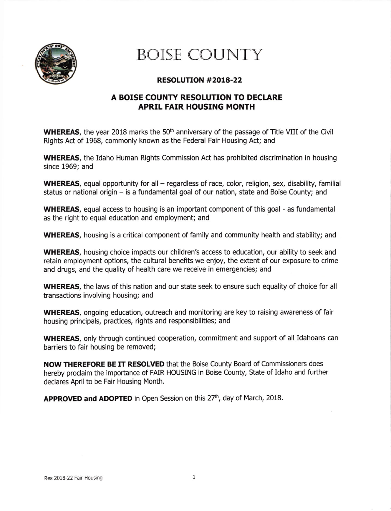

## BOISE COUNTY

## RESOLUTION #2OL8-22

## A BOISE COUNTY RESOLUTION TO DECLARE APRIL FAIR HOUSING MONTH

**WHEREAS**, the year 2018 marks the 50<sup>th</sup> anniversary of the passage of Title VIII of the Civil Rights Act of 1968, commonly known as the Federal Falr Housing Act; and

WHEREAS, the Idaho Human Rights Commission Act has prohibited discrimination in housing since 1969; and

WHEREAS, equal opportunity for all  $-$  regardless of race, color, religion, sex, disability, familial status or national origin - is a fundamental goal of our nation, state and Boise County; and

WHEREAS, equal access to housing is an important component of this goal - as fundamental as the right to equal education and employment; and

WHEREAS, housing is a critical component of family and community health and stability; and

**WHEREAS**, housing choice impacts our children's access to education, our ability to seek and retain employment options, the cultural benefits we enjoy, the extent of our exposure to crime and drugs, and the quality of health care we receive in emergencies; and

WHEREAS, the laws of this nation and our state seek to ensure such equality of choice for all transactions involving housing; and

WHEREAS, ongoing education, outreach and monitoring are key to raising awareness of fair housing principals, practices, rights and responsibilities; and

WHEREAS, only through continued cooperation, commitment and support of all Idahoans can barriers to fair housing be removed;

NOW THEREFORE BE IT RESOLVED that the Boise County Board of Commissioners does hereby proclaim the importance of FAIR HOUSING in Boise County, State of Idaho and futher declares April to be Fair Housing Month.

APPROVED and ADOPTED in Open Session on this 27<sup>th</sup>, day of March, 2018.